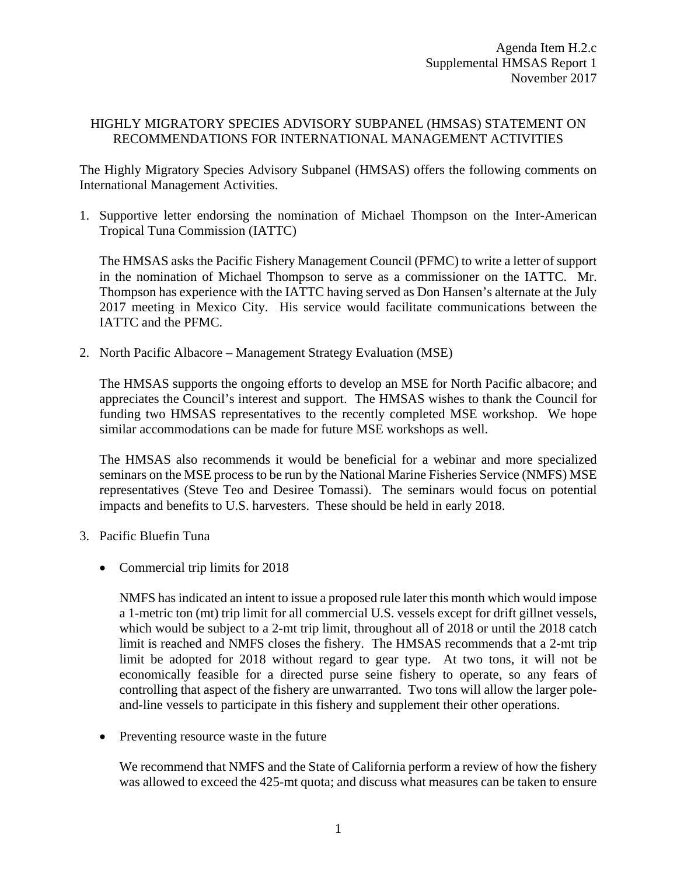## HIGHLY MIGRATORY SPECIES ADVISORY SUBPANEL (HMSAS) STATEMENT ON RECOMMENDATIONS FOR INTERNATIONAL MANAGEMENT ACTIVITIES

The Highly Migratory Species Advisory Subpanel (HMSAS) offers the following comments on International Management Activities.

1. Supportive letter endorsing the nomination of Michael Thompson on the Inter-American Tropical Tuna Commission (IATTC)

The HMSAS asks the Pacific Fishery Management Council (PFMC) to write a letter of support in the nomination of Michael Thompson to serve as a commissioner on the IATTC. Mr. Thompson has experience with the IATTC having served as Don Hansen's alternate at the July 2017 meeting in Mexico City. His service would facilitate communications between the IATTC and the PFMC.

2. North Pacific Albacore – Management Strategy Evaluation (MSE)

The HMSAS supports the ongoing efforts to develop an MSE for North Pacific albacore; and appreciates the Council's interest and support. The HMSAS wishes to thank the Council for funding two HMSAS representatives to the recently completed MSE workshop. We hope similar accommodations can be made for future MSE workshops as well.

The HMSAS also recommends it would be beneficial for a webinar and more specialized seminars on the MSE process to be run by the National Marine Fisheries Service (NMFS) MSE representatives (Steve Teo and Desiree Tomassi). The seminars would focus on potential impacts and benefits to U.S. harvesters. These should be held in early 2018.

- 3. Pacific Bluefin Tuna
	- Commercial trip limits for 2018

NMFS has indicated an intent to issue a proposed rule later this month which would impose a 1-metric ton (mt) trip limit for all commercial U.S. vessels except for drift gillnet vessels, which would be subject to a 2-mt trip limit, throughout all of 2018 or until the 2018 catch limit is reached and NMFS closes the fishery. The HMSAS recommends that a 2-mt trip limit be adopted for 2018 without regard to gear type. At two tons, it will not be economically feasible for a directed purse seine fishery to operate, so any fears of controlling that aspect of the fishery are unwarranted. Two tons will allow the larger poleand-line vessels to participate in this fishery and supplement their other operations.

• Preventing resource waste in the future

We recommend that NMFS and the State of California perform a review of how the fishery was allowed to exceed the 425-mt quota; and discuss what measures can be taken to ensure